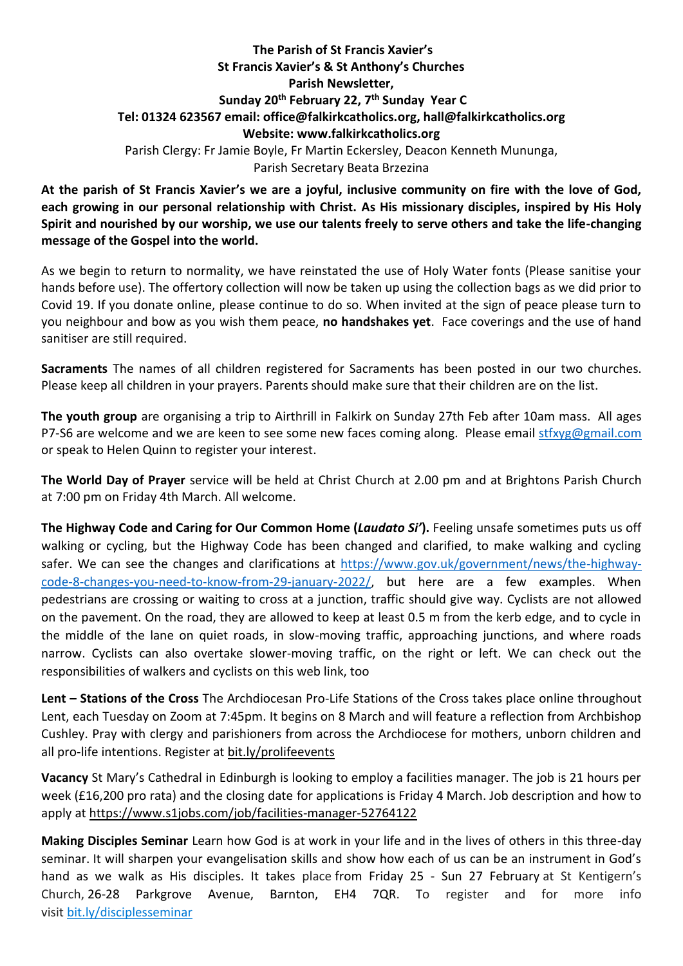## **The Parish of St Francis Xavier's St Francis Xavier's & St Anthony's Churches Parish Newsletter, Sunday 20th February 22, 7 th Sunday Year C Tel: 01324 623567 email: office@falkirkcatholics.org, [hall@falkirkcatholics.org](mailto:hall@falkirkcatholics.org) Website: [www.falkirkcatholics.org](http://www.falkirkcatholics.org/)**  Parish Clergy: Fr Jamie Boyle, Fr Martin Eckersley, Deacon Kenneth Mununga, Parish Secretary Beata Brzezina

**At the parish of St Francis Xavier's we are a joyful, inclusive community on fire with the love of God, each growing in our personal relationship with Christ. As His missionary disciples, inspired by His Holy Spirit and nourished by our worship, we use our talents freely to serve others and take the life-changing message of the Gospel into the world.** 

As we begin to return to normality, we have reinstated the use of Holy Water fonts (Please sanitise your hands before use). The offertory collection will now be taken up using the collection bags as we did prior to Covid 19. If you donate online, please continue to do so. When invited at the sign of peace please turn to you neighbour and bow as you wish them peace, **no handshakes yet**. Face coverings and the use of hand sanitiser are still required.

**Sacraments** The names of all children registered for Sacraments has been posted in our two churches. Please keep all children in your prayers. Parents should make sure that their children are on the list.

**The youth group** are organising a trip to Airthrill in Falkirk on Sunday 27th Feb after 10am mass. All ages P7-S6 are welcome and we are keen to see some new faces coming along. Please email [stfxyg@gmail.com](mailto:stfxyg@gmail.com) or speak to Helen Quinn to register your interest.

**The World Day of Prayer** service will be held at Christ Church at 2.00 pm and at Brightons Parish Church at 7:00 pm on Friday 4th March. All welcome.

**The Highway Code and Caring for Our Common Home (***Laudato Si'***).** Feeling unsafe sometimes puts us off walking or cycling, but the Highway Code has been changed and clarified, to make walking and cycling safer. We can see the changes and clarifications at [https://www.gov.uk/government/news/the-highway](https://www.gov.uk/government/news/the-highway-code-8-changes-you-need-to-know-from-29-january-2022/)[code-8-changes-you-need-to-know-from-29-january-2022/,](https://www.gov.uk/government/news/the-highway-code-8-changes-you-need-to-know-from-29-january-2022/) but here are a few examples. When pedestrians are crossing or waiting to cross at a junction, traffic should give way. Cyclists are not allowed on the pavement. On the road, they are allowed to keep at least 0.5 m from the kerb edge, and to cycle in the middle of the lane on quiet roads, in slow-moving traffic, approaching junctions, and where roads narrow. Cyclists can also overtake slower-moving traffic, on the right or left. We can check out the responsibilities of walkers and cyclists on this web link, too

**Lent – Stations of the Cross** The Archdiocesan Pro-Life Stations of the Cross takes place online throughout Lent, each Tuesday on Zoom at 7:45pm. It begins on 8 March and will feature a reflection from Archbishop Cushley. Pray with clergy and parishioners from across the Archdiocese for mothers, unborn children and all pro-life intentions. Register at [bit.ly/prolifeevents](https://www.eventbrite.co.uk/cc/pro-life-events-150559)

**Vacancy** St Mary's Cathedral in Edinburgh is looking to employ a facilities manager. The job is 21 hours per week (£16,200 pro rata) and the closing date for applications is Friday 4 March. Job description and how to apply at <https://www.s1jobs.com/job/facilities-manager-52764122>

**Making Disciples Seminar** Learn how God is at work in your life and in the lives of others in this three-day seminar. It will sharpen your evangelisation skills and show how each of us can be an instrument in God's hand as we walk as His disciples. It takes place from Friday 25 - Sun 27 February at St Kentigern's Church, 26-28 Parkgrove Avenue, Barnton, EH4 7QR. To register and for more info visit [bit.ly/disciplesseminar](https://www.eventbrite.co.uk/e/making-disciples-seminar-tickets-254469072847)